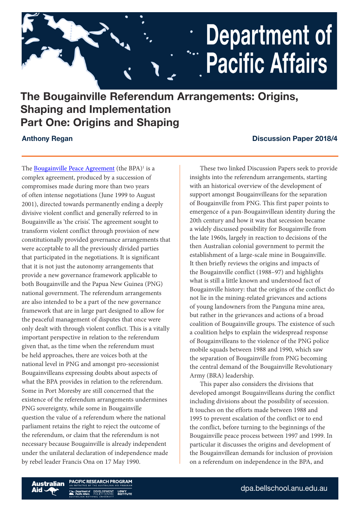# **Department of** " Pacific Affairs

## The Bougainville Referendum Arrangements: Origins, Shaping and Implementation Part One: Origins and Shaping

The **[Bougainville Peace Agreement](https://peaceaccords.nd.edu/sites/default/files/accords/Bougainville_Peace_Agreement_2001.pdf)** (the BPA)<sup>1</sup> is a complex agreement, produced by a succession of compromises made during more than two years of often intense negotiations (June 1999 to August 2001), directed towards permanently ending a deeply divisive violent conflict and generally referred to in Bougainville as 'the crisis'. The agreement sought to transform violent conflict through provision of new constitutionally provided governance arrangements that were acceptable to all the previously divided parties that participated in the negotiations. It is significant that it is not just the autonomy arrangements that provide a new governance framework applicable to both Bougainville and the Papua New Guinea (PNG) national government. The referendum arrangements are also intended to be a part of the new governance framework that are in large part designed to allow for the peaceful management of disputes that once were only dealt with through violent conflict. This is a vitally important perspective in relation to the referendum given that, as the time when the referendum must be held approaches, there are voices both at the national level in PNG and amongst pro-secessionist Bougainvilleans expressing doubts about aspects of what the BPA provides in relation to the referendum. Some in Port Moresby are still concerned that the existence of the referendum arrangements undermines PNG sovereignty, while some in Bougainville question the value of a referendum where the national parliament retains the right to reject the outcome of the referendum, or claim that the referendum is not necessary because Bougainville is already independent under the unilateral declaration of independence made by rebel leader Francis Ona on 17 May 1990.

### Anthony Regan **Discussion Paper 2018/4**

These two linked Discussion Papers seek to provide insights into the referendum arrangements, starting with an historical overview of the development of support amongst Bougainvilleans for the separation of Bougainville from PNG. This first paper points to emergence of a pan-Bougainvillean identity during the 20th century and how it was that secession became a widely discussed possibility for Bougainville from the late 1960s, largely in reaction to decisions of the then Australian colonial government to permit the establishment of a large-scale mine in Bougainville. It then briefly reviews the origins and impacts of the Bougainville conflict (1988–97) and highlights what is still a little known and understood fact of Bougainville history: that the origins of the conflict do not lie in the mining-related grievances and actions of young landowners from the Panguna mine area, but rather in the grievances and actions of a broad coalition of Bougainville groups. The existence of such a coalition helps to explain the widespread response of Bougainvilleans to the violence of the PNG police mobile squads between 1988 and 1990, which saw the separation of Bougainville from PNG becoming the central demand of the Bougainville Revolutionary Army (BRA) leadership.

This paper also considers the divisions that developed amongst Bougainvilleans during the conflict including divisions about the possibility of secession. It touches on the efforts made between 1988 and 1995 to prevent escalation of the conflict or to end the conflict, before turning to the beginnings of the Bougainville peace process between 1997 and 1999. In particular it discusses the origins and development of the Bougainvillean demands for inclusion of provision on a referendum on independence in the BPA, and

**CIFIC RESEARCH PROGRAM** LOWY<br>INSTITUTE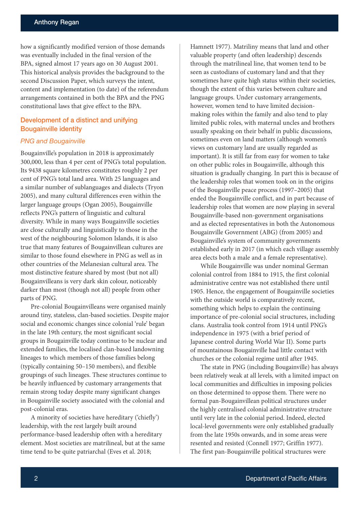how a significantly modified version of those demands was eventually included in the final version of the BPA, signed almost 17 years ago on 30 August 2001. This historical analysis provides the background to the second Discussion Paper, which surveys the intent, content and implementation (to date) of the referendum arrangements contained in both the BPA and the PNG constitutional laws that give effect to the BPA.

#### Development of a distinct and unifying Bougainville identity

#### *PNG and Bougainville*

Bougainville's population in 2018 is approximately 300,000, less than 4 per cent of PNG's total population. Its 9438 square kilometres constitutes roughly 2 per cent of PNG's total land area. With 25 languages and a similar number of sublanguages and dialects (Tryon 2005), and many cultural differences even within the larger language groups (Ogan 2005), Bougainville reflects PNG's pattern of linguistic and cultural diversity. While in many ways Bougainville societies are close culturally and linguistically to those in the west of the neighbouring Solomon Islands, it is also true that many features of Bougainvillean cultures are similar to those found elsewhere in PNG as well as in other countries of the Melanesian cultural area. The most distinctive feature shared by most (but not all) Bougainvilleans is very dark skin colour, noticeably darker than most (though not all) people from other parts of PNG.

Pre-colonial Bougainvilleans were organised mainly around tiny, stateless, clan-based societies. Despite major social and economic changes since colonial 'rule' began in the late 19th century, the most significant social groups in Bougainville today continue to be nuclear and extended families, the localised clan-based landowning lineages to which members of those families belong (typically containing 50–150 members), and flexible groupings of such lineages. These structures continue to be heavily influenced by customary arrangements that remain strong today despite many significant changes in Bougainville society associated with the colonial and post-colonial eras.

A minority of societies have hereditary ('chiefly') leadership, with the rest largely built around performance-based leadership often with a hereditary element. Most societies are matrilineal, but at the same time tend to be quite patriarchal (Eves et al. 2018;

Hamnett 1977). Matriliny means that land and other valuable property (and often leadership) descends through the matrilineal line, that women tend to be seen as custodians of customary land and that they sometimes have quite high status within their societies, though the extent of this varies between culture and language groups. Under customary arrangements, however, women tend to have limited decisionmaking roles within the family and also tend to play limited public roles, with maternal uncles and brothers usually speaking on their behalf in public discussions, sometimes even on land matters (although women's views on customary land are usually regarded as important). It is still far from easy for women to take on other public roles in Bougainville, although this situation is gradually changing. In part this is because of the leadership roles that women took on in the origins of the Bougainville peace process (1997–2005) that ended the Bougainville conflict, and in part because of leadership roles that women are now playing in several Bougainville-based non-government organisations and as elected representatives in both the Autonomous Bougainville Government (ABG) (from 2005) and Bougainville's system of community governments established early in 2017 (in which each village assembly area elects both a male and a female representative).

While Bougainville was under nominal German colonial control from 1884 to 1915, the first colonial administrative centre was not established there until 1905. Hence, the engagement of Bougainville societies with the outside world is comparatively recent, something which helps to explain the continuing importance of pre-colonial social structures, including clans. Australia took control from 1914 until PNG's independence in 1975 (with a brief period of Japanese control during World War II). Some parts of mountainous Bougainville had little contact with churches or the colonial regime until after 1945.

The state in PNG (including Bougainville) has always been relatively weak at all levels, with a limited impact on local communities and difficulties in imposing policies on those determined to oppose them. There were no formal pan-Bougainvillean political structures under the highly centralised colonial administrative structure until very late in the colonial period. Indeed, elected local-level governments were only established gradually from the late 1950s onwards, and in some areas were resented and resisted (Connell 1977; Griffin 1977). The first pan-Bougainville political structures were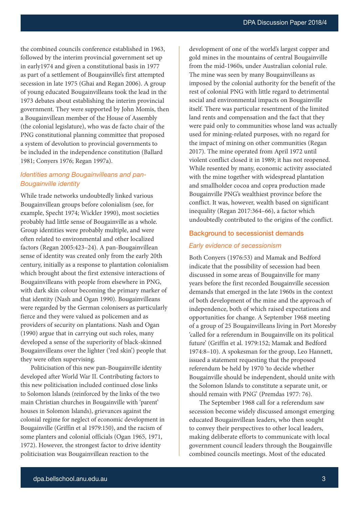the combined councils conference established in 1963, followed by the interim provincial government set up in early1974 and given a constitutional basis in 1977 as part of a settlement of Bougainville's first attempted secession in late 1975 (Ghai and Regan 2006). A group of young educated Bougainvilleans took the lead in the 1973 debates about establishing the interim provincial government. They were supported by John Momis, then a Bougainvillean member of the House of Assembly (the colonial legislature), who was de facto chair of the PNG constitutional planning committee that proposed a system of devolution to provincial governments to be included in the independence constitution (Ballard 1981; Conyers 1976; Regan 1997a).

#### *Identities among Bougainvilleans and pan-Bougainville identity*

While trade networks undoubtedly linked various Bougainvillean groups before colonialism (see, for example, Specht 1974; Wickler 1990), most societies probably had little sense of Bougainville as a whole. Group identities were probably multiple, and were often related to environmental and other localized factors (Regan 2005:423–24). A pan-Bougainvillean sense of identity was created only from the early 20th century, initially as a response to plantation colonialism which brought about the first extensive interactions of Bougainvilleans with people from elsewhere in PNG, with dark skin colour becoming the primary marker of that identity (Nash and Ogan 1990). Bougainvilleans were regarded by the German colonisers as particularly fierce and they were valued as policemen and as providers of security on plantations. Nash and Ogan (1990) argue that in carrying out such roles, many developed a sense of the superiority of black-skinned Bougainvilleans over the lighter ('red skin') people that they were often supervising.

Politicisation of this new pan-Bougainville identity developed after World War II. Contributing factors to this new politicisation included continued close links to Solomon Islands (reinforced by the links of the two main Christian churches in Bougainville with 'parent' houses in Solomon Islands), grievances against the colonial regime for neglect of economic development in Bougainville (Griffin et al 1979:150), and the racism of some planters and colonial officials (Ogan 1965, 1971, 1972). However, the strongest factor to drive identity politicisation was Bougainvillean reaction to the

development of one of the world's largest copper and gold mines in the mountains of central Bougainville from the mid-1960s, under Australian colonial rule. The mine was seen by many Bougainvilleans as imposed by the colonial authority for the benefit of the rest of colonial PNG with little regard to detrimental social and environmental impacts on Bougainville itself. There was particular resentment of the limited land rents and compensation and the fact that they were paid only to communities whose land was actually used for mining-related purposes, with no regard for the impact of mining on other communities (Regan 2017). The mine operated from April 1972 until violent conflict closed it in 1989; it has not reopened. While resented by many, economic activity associated with the mine together with widespread plantation and smallholder cocoa and copra production made Bougainville PNG's wealthiest province before the conflict. It was, however, wealth based on significant inequality (Regan 2017:364–66), a factor which undoubtedly contributed to the origins of the conflict.

#### Background to secessionist demands

#### *Early evidence of secessionism*

Both Conyers (1976:53) and Mamak and Bedford indicate that the possibility of secession had been discussed in some areas of Bougainville for many years before the first recorded Bougainville secession demands that emerged in the late 1960s in the context of both development of the mine and the approach of independence, both of which raised expectations and opportunities for change. A September 1968 meeting of a group of 25 Bougainvilleans living in Port Moresby 'called for a referendum in Bougainville on its political future' (Griffin et al. 1979:152; Mamak and Bedford 1974:8–10). A spokesman for the group, Leo Hannett, issued a statement requesting that the proposed referendum be held by 1970 'to decide whether Bougainville should be independent, should unite with the Solomon Islands to constitute a separate unit, or should remain with PNG' (Premdas 1977: 76).

The September 1968 call for a referendum saw secession become widely discussed amongst emerging educated Bougainvillean leaders, who then sought to convey their perspectives to other local leaders, making deliberate efforts to communicate with local government council leaders through the Bougainville combined councils meetings. Most of the educated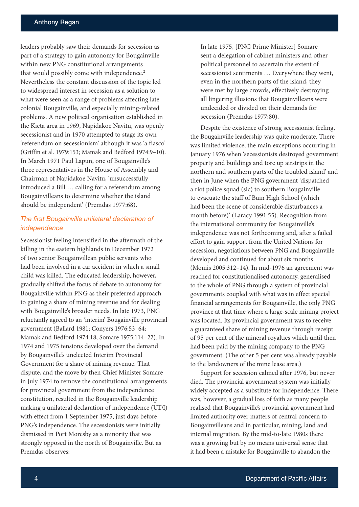leaders probably saw their demands for secession as part of a strategy to gain autonomy for Bougainville within new PNG constitutional arrangements that would possibly come with independence.<sup>2</sup> Nevertheless the constant discussion of the topic led to widespread interest in secession as a solution to what were seen as a range of problems affecting late colonial Bougainville, and especially mining-related problems. A new political organisation established in the Kieta area in 1969, Napidakoe Navitu, was openly secessionist and in 1970 attempted to stage its own 'referendum on secessionism' although it was 'a fiasco' (Griffin et al. 1979:153; Mamak and Bedford 1974:9–10). In March 1971 Paul Lapun, one of Bougainville's three representatives in the House of Assembly and Chairman of Napidakoe Navitu, 'unsuccessfully introduced a Bill … calling for a referendum among Bougainvilleans to determine whether the island should be independent' (Premdas 1977:68).

#### *The first Bougainville unilateral declaration of independence*

Secessionist feeling intensified in the aftermath of the killing in the eastern highlands in December 1972 of two senior Bougainvillean public servants who had been involved in a car accident in which a small child was killed. The educated leadership, however, gradually shifted the focus of debate to autonomy for Bougainville within PNG as their preferred approach to gaining a share of mining revenue and for dealing with Bougainville's broader needs. In late 1973, PNG reluctantly agreed to an 'interim' Bougainville provincial government (Ballard 1981; Conyers 1976:53–64; Mamak and Bedford 1974:18; Somare 1975:114–22). In 1974 and 1975 tensions developed over the demand by Bougainville's unelected Interim Provincial Government for a share of mining revenue. That dispute, and the move by then Chief Minister Somare in July 1974 to remove the constitutional arrangements for provincial government from the independence constitution, resulted in the Bougainville leadership making a unilateral declaration of independence (UDI) with effect from 1 September 1975, just days before PNG's independence. The secessionists were initially dismissed in Port Moresby as a minority that was strongly opposed in the north of Bougainville. But as Premdas observes:

In late 1975, [PNG Prime Minister] Somare sent a delegation of cabinet ministers and other political personnel to ascertain the extent of secessionist sentiments … Everywhere they went, even in the northern parts of the island, they were met by large crowds, effectively destroying all lingering illusions that Bougainvilleans were undecided or divided on their demands for secession (Premdas 1977:80).

Despite the existence of strong secessionist feeling, the Bougainville leadership was quite moderate. There was limited violence, the main exceptions occurring in January 1976 when 'secessionists destroyed government property and buildings and tore up airstrips in the northern and southern parts of the troubled island' and then in June when the PNG government 'dispatched a riot police squad (sic) to southern Bougainville to evacuate the staff of Buin High School (which had been the scene of considerable disturbances a month before)' (Laracy 1991:55). Recognition from the international community for Bougainville's independence was not forthcoming and, after a failed effort to gain support from the United Nations for secession, negotiations between PNG and Bougainville developed and continued for about six months (Momis 2005:312–14). In mid-1976 an agreement was reached for constitutionalised autonomy, generalised to the whole of PNG through a system of provincial governments coupled with what was in effect special financial arrangements for Bougainville, the only PNG province at that time where a large-scale mining project was located. Its provincial government was to receive a guaranteed share of mining revenue through receipt of 95 per cent of the mineral royalties which until then had been paid by the mining company to the PNG government. (The other 5 per cent was already payable to the landowners of the mine lease area.)

Support for secession calmed after 1976, but never died. The provincial government system was initially widely accepted as a substitute for independence. There was, however, a gradual loss of faith as many people realised that Bougainville's provincial government had limited authority over matters of central concern to Bougainvilleans and in particular, mining, land and internal migration. By the mid-to-late 1980s there was a growing but by no means universal sense that it had been a mistake for Bougainville to abandon the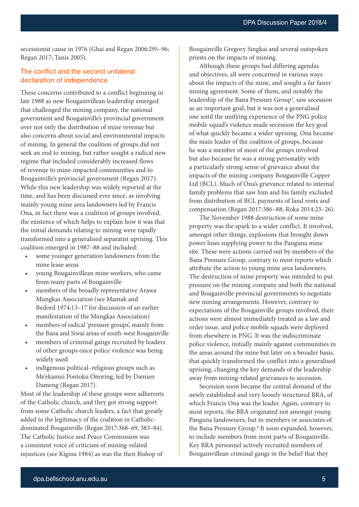DPA Discussion Paper 2018/4

secessionist cause in 1976 (Ghai and Regan 2006:295–96; Regan 2017; Tanis 2005).

#### The conflict and the second unilateral declaration of independence

These concerns contributed to a conflict beginning in late 1988 as new Bougainvillean leadership emerged that challenged the mining company, the national government and Bougainville's provincial government over not only the distribution of mine revenue but also concerns about social and environmental impacts of mining. In general the coalition of groups did not seek an end to mining, but rather sought a radical new regime that included considerably increased flows of revenue to mine-impacted communities and to Bougainville's provincial government (Regan 2017). While this new leadership was widely reported at the time, and has been discussed ever since, as involving mainly young mine area landowners led by Francis Ona, in fact there was a coalition of groups involved, the existence of which helps to explain how it was that the initial demands relating to mining were rapidly transformed into a generalised separatist uprising. This coalition emerged in 1987–88 and included:

- some younger generation landowners from the mine lease areas
- young Bougainvillean mine workers, who came from many parts of Bougainville
- members of the broadly representative Arawa Mungkas Association (see Mamak and Bedord 1974:13–17 for discussion of an earlier manifestation of the Mungkas Association)
- members of radical 'pressure groups', mainly from the Bana and Siwai areas of south-west Bougainville
- members of criminal gangs recruited by leaders of other groups once police violence was being widely used
- indigenous political–religious groups such as Me'ekamui Pontoku Onoring, led by Damien Dameng (Regan 2017).

Most of the leadership of these groups were adherents of the Catholic church, and they got strong support from some Catholic church leaders, a fact that greatly added to the legitimacy of the coalition in Catholicdominated Bougainville (Regan 2017:368–69, 383–84). The Catholic Justice and Peace Commission was a consistent voice of criticism of mining-related injustices (see Kigina 1984) as was the then Bishop of

Bougainville Gregory Singkai and several outspoken priests on the impacts of mining.

Although these groups had differing agendas and objectives, all were concerned in various ways about the impacts of the mine, and sought a far fairer mining agreement. Some of them, and notably the leadership of the Bana Pressure Group<sup>3</sup>, saw secession as an important goal, but it was not a generalised one until the unifying experience of the PNG police mobile squad's violence made secession the key goal of what quickly became a wider uprising. Ona became the main leader of the coalition of groups, because he was a member of most of the groups involved but also because he was a strong personality with a particularly strong sense of grievance about the impacts of the mining company Bougainville Copper Ltd (BCL). Much of Ona's grievance related to internal family problems that saw him and his family excluded from distribution of BCL payments of land rents and compensation (Regan 2017:386–88; Roka 2014:23–26).

The November 1988 destruction of some mine property was the spark to a wider conflict. It involved, amongst other things, explosions that brought down power lines supplying power to the Panguna mine site. These were actions carried out by members of the Bana Pressure Group, contrary to most reports which attribute the action to young mine area landowners. The destruction of mine property was intended to put pressure on the mining company and both the national and Bougainville provincial governments to negotiate new mining arrangements. However, contrary to expectations of the Bougainville groups involved, their actions were almost immediately treated as a law and order issue, and police mobile squads were deployed from elsewhere in PNG. It was the indiscriminate police violence, initially mainly against communities in the areas around the mine but later on a broader basis, that quickly transformed the conflict into a generalised uprising, changing the key demands of the leadership away from mining-related grievances to secession.

Secession soon became the central demand of the newly established and very loosely structured BRA, of which Francis Ona was the leader. Again, contrary to most reports, the BRA originated not amongst young Panguna landowners, but in members or associates of the Bana Pressure Group.<sup>4</sup> It soon expanded, however, to include members from most parts of Bougainville. Key BRA personnel actively recruited members of Bougainvillean criminal gangs in the belief that they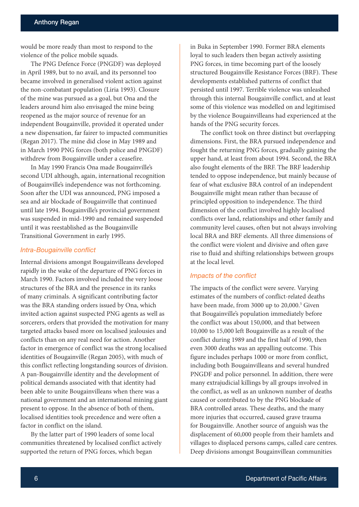would be more ready than most to respond to the violence of the police mobile squads.

The PNG Defence Force (PNGDF) was deployed in April 1989, but to no avail, and its personnel too became involved in generalised violent action against the non-combatant population (Liria 1993). Closure of the mine was pursued as a goal, but Ona and the leaders around him also envisaged the mine being reopened as the major source of revenue for an independent Bougainville, provided it operated under a new dispensation, far fairer to impacted communities (Regan 2017). The mine did close in May 1989 and in March 1990 PNG forces (both police and PNGDF) withdrew from Bougainville under a ceasefire.

In May 1990 Francis Ona made Bougainville's second UDI although, again, international recognition of Bougainville's independence was not forthcoming. Soon after the UDI was announced, PNG imposed a sea and air blockade of Bougainville that continued until late 1994. Bougainville's provincial government was suspended in mid-1990 and remained suspended until it was reestablished as the Bougainville Transitional Government in early 1995.

#### *Intra-Bougainville conflict*

Internal divisions amongst Bougainvilleans developed rapidly in the wake of the departure of PNG forces in March 1990. Factors involved included the very loose structures of the BRA and the presence in its ranks of many criminals. A significant contributing factor was the BRA standing orders issued by Ona, which invited action against suspected PNG agents as well as sorcerers, orders that provided the motivation for many targeted attacks based more on localised jealousies and conflicts than on any real need for action. Another factor in emergence of conflict was the strong localised identities of Bougainville (Regan 2005), with much of this conflict reflecting longstanding sources of division. A pan-Bougainville identity and the development of political demands associated with that identity had been able to unite Bougainvilleans when there was a national government and an international mining giant present to oppose. In the absence of both of them, localised identities took precedence and were often a factor in conflict on the island.

By the latter part of 1990 leaders of some local communities threatened by localised conflict actively supported the return of PNG forces, which began

in Buka in September 1990. Former BRA elements loyal to such leaders then began actively assisting PNG forces, in time becoming part of the loosely structured Bougainville Resistance Forces (BRF). These developments established patterns of conflict that persisted until 1997. Terrible violence was unleashed through this internal Bougainville conflict, and at least some of this violence was modelled on and legitimised by the violence Bougainvilleans had experienced at the hands of the PNG security forces.

The conflict took on three distinct but overlapping dimensions. First, the BRA pursued independence and fought the returning PNG forces, gradually gaining the upper hand, at least from about 1994. Second, the BRA also fought elements of the BRF. The BRF leadership tended to oppose independence, but mainly because of fear of what exclusive BRA control of an independent Bougainville might mean rather than because of principled opposition to independence. The third dimension of the conflict involved highly localised conflicts over land, relationships and other family and community level causes, often but not always involving local BRA and BRF elements. All three dimensions of the conflict were violent and divisive and often gave rise to fluid and shifting relationships between groups at the local level.

#### *Impacts of the conflict*

The impacts of the conflict were severe. Varying estimates of the numbers of conflict-related deaths have been made, from 3000 up to 20,000.<sup>5</sup> Given that Bougainville's population immediately before the conflict was about 150,000, and that between 10,000 to 15,000 left Bougainville as a result of the conflict during 1989 and the first half of 1990, then even 3000 deaths was an appalling outcome. This figure includes perhaps 1000 or more from conflict, including both Bougainvilleans and several hundred PNGDF and police personnel. In addition, there were many extrajudicial killings by all groups involved in the conflict, as well as an unknown number of deaths caused or contributed to by the PNG blockade of BRA controlled areas. These deaths, and the many more injuries that occurred, caused grave trauma for Bougainville. Another source of anguish was the displacement of 60,000 people from their hamlets and villages to displaced persons camps, called care centres. Deep divisions amongst Bougainvillean communities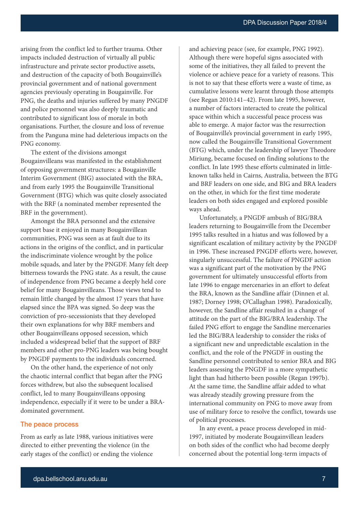arising from the conflict led to further trauma. Other impacts included destruction of virtually all public infrastructure and private sector productive assets, and destruction of the capacity of both Bougainville's provincial government and of national government agencies previously operating in Bougainville. For PNG, the deaths and injuries suffered by many PNGDF and police personnel was also deeply traumatic and contributed to significant loss of morale in both organisations. Further, the closure and loss of revenue from the Panguna mine had deleterious impacts on the PNG economy.

The extent of the divisions amongst Bougainvilleans was manifested in the establishment of opposing government structures: a Bougainville Interim Government (BIG) associated with the BRA, and from early 1995 the Bougainville Transitional Government (BTG) which was quite closely associated with the BRF (a nominated member represented the BRF in the government).

Amongst the BRA personnel and the extensive support base it enjoyed in many Bougainvillean communities, PNG was seen as at fault due to its actions in the origins of the conflict, and in particular the indiscriminate violence wrought by the police mobile squads, and later by the PNGDF. Many felt deep bitterness towards the PNG state. As a result, the cause of independence from PNG became a deeply held core belief for many Bougainvilleans. Those views tend to remain little changed by the almost 17 years that have elapsed since the BPA was signed. So deep was the conviction of pro-secessionists that they developed their own explanations for why BRF members and other Bougainvilleans opposed secession, which included a widespread belief that the support of BRF members and other pro-PNG leaders was being bought by PNGDF payments to the individuals concerned.

On the other hand, the experience of not only the chaotic internal conflict that began after the PNG forces withdrew, but also the subsequent localised conflict, led to many Bougainvilleans opposing independence, especially if it were to be under a BRAdominated government.

#### The peace process

From as early as late 1988, various initiatives were directed to either preventing the violence (in the early stages of the conflict) or ending the violence and achieving peace (see, for example, PNG 1992). Although there were hopeful signs associated with some of the initiatives, they all failed to prevent the violence or achieve peace for a variety of reasons. This is not to say that these efforts were a waste of time, as cumulative lessons were learnt through those attempts (see Regan 2010:141–42). From late 1995, however, a number of factors interacted to create the political space within which a successful peace process was able to emerge. A major factor was the resurrection of Bougainville's provincial government in early 1995, now called the Bougainville Transitional Government (BTG) which, under the leadership of lawyer Theodore Miriung, became focused on finding solutions to the conflict. In late 1995 these efforts culminated in littleknown talks held in Cairns, Australia, between the BTG and BRF leaders on one side, and BIG and BRA leaders on the other, in which for the first time moderate leaders on both sides engaged and explored possible ways ahead.

Unfortunately, a PNGDF ambush of BIG/BRA leaders returning to Bougainville from the December 1995 talks resulted in a hiatus and was followed by a significant escalation of military activity by the PNGDF in 1996. These increased PNGDF efforts were, however, singularly unsuccessful. The failure of PNGDF action was a significant part of the motivation by the PNG government for ultimately unsuccessful efforts from late 1996 to engage mercenaries in an effort to defeat the BRA, known as the Sandline affair (Dinnen et al. 1987; Dorney 1998; O'Callaghan 1998). Paradoxically, however, the Sandline affair resulted in a change of attitude on the part of the BIG/BRA leadership. The failed PNG effort to engage the Sandline mercenaries led the BIG/BRA leadership to consider the risks of a significant new and unpredictable escalation in the conflict, and the role of the PNGDF in ousting the Sandline personnel contributed to senior BRA and BIG leaders assessing the PNGDF in a more sympathetic light than had hitherto been possible (Regan 1997b). At the same time, the Sandline affair added to what was already steadily growing pressure from the international community on PNG to move away from use of military force to resolve the conflict, towards use of political processes.

In any event, a peace process developed in mid-1997, initiated by moderate Bougainvillean leaders on both sides of the conflict who had become deeply concerned about the potential long-term impacts of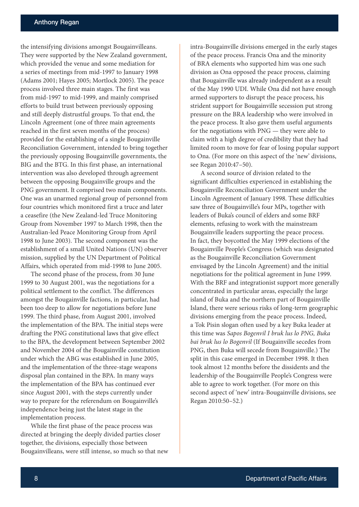the intensifying divisions amongst Bougainvilleans. They were supported by the New Zealand government, which provided the venue and some mediation for a series of meetings from mid-1997 to January 1998 (Adams 2001; Hayes 2005; Mortlock 2005). The peace process involved three main stages. The first was from mid-1997 to mid-1999, and mainly comprised efforts to build trust between previously opposing and still deeply distrustful groups. To that end, the Lincoln Agreement (one of three main agreements reached in the first seven months of the process) provided for the establishing of a single Bougainville Reconciliation Government, intended to bring together the previously opposing Bougainville governments, the BIG and the BTG. In this first phase, an international intervention was also developed through agreement between the opposing Bougainville groups and the PNG government. It comprised two main components. One was an unarmed regional group of personnel from four countries which monitored first a truce and later a ceasefire (the New Zealand-led Truce Monitoring Group from November 1997 to March 1998, then the Australian-led Peace Monitoring Group from April 1998 to June 2003). The second component was the establishment of a small United Nations (UN) observer mission, supplied by the UN Department of Political Affairs, which operated from mid-1998 to June 2005.

The second phase of the process, from 30 June 1999 to 30 August 2001, was the negotiations for a political settlement to the conflict. The differences amongst the Bougainville factions, in particular, had been too deep to allow for negotiations before June 1999. The third phase, from August 2001, involved the implementation of the BPA. The initial steps were drafting the PNG constitutional laws that give effect to the BPA, the development between September 2002 and November 2004 of the Bougainville constitution under which the ABG was established in June 2005, and the implementation of the three-stage weapons disposal plan contained in the BPA. In many ways the implementation of the BPA has continued ever since August 2001, with the steps currently under way to prepare for the referendum on Bougainville's independence being just the latest stage in the implementation process.

While the first phase of the peace process was directed at bringing the deeply divided parties closer together, the divisions, especially those between Bougainvilleans, were still intense, so much so that new intra-Bougainville divisions emerged in the early stages of the peace process. Francis Ona and the minority of BRA elements who supported him was one such division as Ona opposed the peace process, claiming that Bougainville was already independent as a result of the May 1990 UDI. While Ona did not have enough armed supporters to disrupt the peace process, his strident support for Bougainville secession put strong pressure on the BRA leadership who were involved in the peace process. It also gave them useful arguments for the negotiations with PNG — they were able to claim with a high degree of credibility that they had limited room to move for fear of losing popular support to Ona. (For more on this aspect of the 'new' divisions, see Regan 2010:47–50).

A second source of division related to the significant difficulties experienced in establishing the Bougainville Reconciliation Government under the Lincoln Agreement of January 1998. These difficulties saw three of Bougainville's four MPs, together with leaders of Buka's council of elders and some BRF elements, refusing to work with the mainstream Bougainville leaders supporting the peace process. In fact, they boycotted the May 1999 elections of the Bougainville People's Congress (which was designated as the Bougainville Reconciliation Government envisaged by the Lincoln Agreement) and the initial negotiations for the political agreement in June 1999. With the BRF and integrationist support more generally concentrated in particular areas, especially the large island of Buka and the northern part of Bougainville Island, there were serious risks of long-term geographic divisions emerging from the peace process. Indeed, a Tok Pisin slogan often used by a key Buka leader at this time was *Sapos Bogenvil I bruk lus lo PNG, Buka bai bruk lus lo Bogenvil* (If Bougainville secedes from PNG, then Buka will secede from Bougainville.) The split in this case emerged in December 1998. It then took almost 12 months before the dissidents and the leadership of the Bougainville People's Congress were able to agree to work together. (For more on this second aspect of 'new' intra-Bougainville divisions, see Regan 2010:50–52.)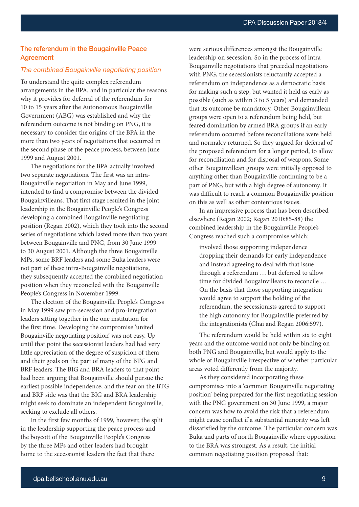#### The referendum in the Bougainville Peace Agreement

#### *The combined Bougainville negotiating position*

To understand the quite complex referendum arrangements in the BPA, and in particular the reasons why it provides for deferral of the referendum for 10 to 15 years after the Autonomous Bougainville Government (ABG) was established and why the referendum outcome is not binding on PNG, it is necessary to consider the origins of the BPA in the more than two years of negotiations that occurred in the second phase of the peace process, between June 1999 and August 2001.

The negotiations for the BPA actually involved two separate negotiations. The first was an intra-Bougainville negotiation in May and June 1999, intended to find a compromise between the divided Bougainvilleans. That first stage resulted in the joint leadership in the Bougainville People's Congress developing a combined Bougainville negotiating position (Regan 2002), which they took into the second series of negotiations which lasted more than two years between Bougainville and PNG, from 30 June 1999 to 30 August 2001. Although the three Bougainville MPs, some BRF leaders and some Buka leaders were not part of these intra-Bougainville negotiations, they subsequently accepted the combined negotiation position when they reconciled with the Bougainville People's Congress in November 1999.

The election of the Bougainville People's Congress in May 1999 saw pro-secession and pro-integration leaders sitting together in the one institution for the first time. Developing the compromise 'united Bougainville negotiating position' was not easy. Up until that point the secessionist leaders had had very little appreciation of the degree of suspicion of them and their goals on the part of many of the BTG and BRF leaders. The BIG and BRA leaders to that point had been arguing that Bougainville should pursue the earliest possible independence, and the fear on the BTG and BRF side was that the BIG and BRA leadership might seek to dominate an independent Bougainville, seeking to exclude all others.

In the first few months of 1999, however, the split in the leadership supporting the peace process and the boycott of the Bougainville People's Congress by the three MPs and other leaders had brought home to the secessionist leaders the fact that there

were serious differences amongst the Bougainville leadership on secession. So in the process of intra-Bougainville negotiations that preceded negotiations with PNG, the secessionists reluctantly accepted a referendum on independence as a democratic basis for making such a step, but wanted it held as early as possible (such as within 3 to 5 years) and demanded that its outcome be mandatory. Other Bougainvillean groups were open to a referendum being held, but feared domination by armed BRA groups if an early referendum occurred before reconciliations were held and normalcy returned. So they argued for deferral of the proposed referendum for a longer period, to allow for reconciliation and for disposal of weapons. Some other Bougainvillean groups were initially opposed to anything other than Bougainville continuing to be a part of PNG, but with a high degree of autonomy. It was difficult to reach a common Bougainville position on this as well as other contentious issues.

In an impressive process that has been described elsewhere (Regan 2002; Regan 2010:85-88) the combined leadership in the Bougainville People's Congress reached such a compromise which:

involved those supporting independence dropping their demands for early independence and instead agreeing to deal with that issue through a referendum … but deferred to allow time for divided Bougainvilleans to reconcile … On the basis that those supporting integration would agree to support the holding of the referendum, the secessionists agreed to support the high autonomy for Bougainville preferred by the integrationists (Ghai and Regan 2006:597).

The referendum would be held within six to eight years and the outcome would not only be binding on both PNG and Bougainville, but would apply to the whole of Bougainville irrespective of whether particular areas voted differently from the majority.

As they considered incorporating these compromises into a 'common Bougainville negotiating position' being prepared for the first negotiating session with the PNG government on 30 June 1999, a major concern was how to avoid the risk that a referendum might cause conflict if a substantial minority was left dissatisfied by the outcome. The particular concern was Buka and parts of north Bougainville where opposition to the BRA was strongest. As a result, the initial common negotiating position proposed that: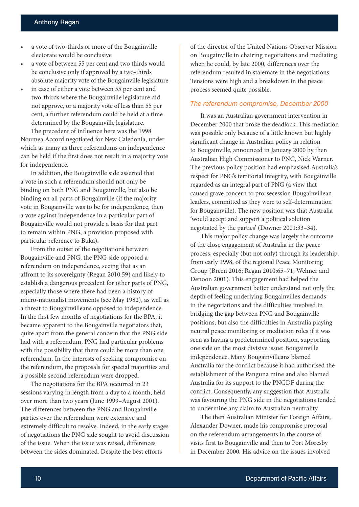- a vote of two-thirds or more of the Bougainville electorate would be conclusive
- a vote of between 55 per cent and two thirds would be conclusive only if approved by a two-thirds absolute majority vote of the Bougainville legislature
- in case of either a vote between 55 per cent and two-thirds where the Bougainville legislature did not approve, or a majority vote of less than 55 per cent, a further referendum could be held at a time determined by the Bougainville legislature.

The precedent of influence here was the 1998 Noumea Accord negotiated for New Caledonia, under which as many as three referendums on independence can be held if the first does not result in a majority vote for independence.

In addition, the Bougainville side asserted that a vote in such a referendum should not only be binding on both PNG and Bougainville, but also be binding on all parts of Bougainville (if the majority vote in Bougainville was to be for independence, then a vote against independence in a particular part of Bougainville would not provide a basis for that part to remain within PNG, a provision proposed with particular reference to Buka).

From the outset of the negotiations between Bougainville and PNG, the PNG side opposed a referendum on independence, seeing that as an affront to its sovereignty (Regan 2010:59) and likely to establish a dangerous precedent for other parts of PNG, especially those where there had been a history of micro-nationalist movements (see May 1982), as well as a threat to Bougainvilleans opposed to independence. In the first few months of negotiations for the BPA, it became apparent to the Bougainville negotiators that, quite apart from the general concern that the PNG side had with a referendum, PNG had particular problems with the possibility that there could be more than one referendum. In the interests of seeking compromise on the referendum, the proposals for special majorities and a possible second referendum were dropped.

The negotiations for the BPA occurred in 23 sessions varying in length from a day to a month, held over more than two years (June 1999–August 2001). The differences between the PNG and Bougainville parties over the referendum were extensive and extremely difficult to resolve. Indeed, in the early stages of negotiations the PNG side sought to avoid discussion of the issue. When the issue was raised, differences between the sides dominated. Despite the best efforts

of the director of the United Nations Observer Mission on Bougainville in chairing negotiations and mediating when he could, by late 2000, differences over the referendum resulted in stalemate in the negotiations. Tensions were high and a breakdown in the peace process seemed quite possible.

#### *The referendum compromise, December 2000*

It was an Australian government intervention in December 2000 that broke the deadlock. This mediation was possible only because of a little known but highly significant change in Australian policy in relation to Bougainville, announced in January 2000 by then Australian High Commissioner to PNG, Nick Warner. The previous policy position had emphasised Australia's respect for PNG's territorial integrity, with Bougainville regarded as an integral part of PNG (a view that caused grave concern to pro-secession Bougainvillean leaders, committed as they were to self-determination for Bougainville). The new position was that Australia 'would accept and support a political solution negotiated by the parties' (Downer 2001:33–34).

This major policy change was largely the outcome of the close engagement of Australia in the peace process, especially (but not only) through its leadership, from early 1998, of the regional Peace Monitoring Group (Breen 2016; Regan 2010:65–71; Wehner and Denoon 2001). This engagement had helped the Australian government better understand not only the depth of feeling underlying Bougainville's demands in the negotiations and the difficulties involved in bridging the gap between PNG and Bougainville positions, but also the difficulties in Australia playing neutral peace monitoring or mediation roles if it was seen as having a predetermined position, supporting one side on the most divisive issue: Bougainville independence. Many Bougainvilleans blamed Australia for the conflict because it had authorised the establishment of the Panguna mine and also blamed Australia for its support to the PNGDF during the conflict. Consequently, any suggestion that Australia was favouring the PNG side in the negotiations tended to undermine any claim to Australian neutrality.

The then Australian Minister for Foreign Affairs, Alexander Downer, made his compromise proposal on the referendum arrangements in the course of visits first to Bougainville and then to Port Moresby in December 2000. His advice on the issues involved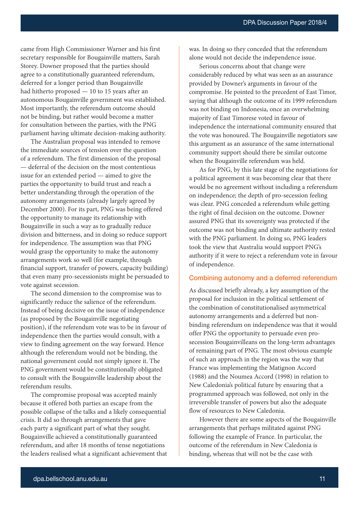came from High Commissioner Warner and his first secretary responsible for Bougainville matters, Sarah Storey. Downer proposed that the parties should agree to a constitutionally guaranteed referendum, deferred for a longer period than Bougainville had hitherto proposed — 10 to 15 years after an autonomous Bougainville government was established. Most importantly, the referendum outcome should not be binding, but rather would become a matter for consultation between the parties, with the PNG parliament having ultimate decision-making authority.

The Australian proposal was intended to remove the immediate sources of tension over the question of a referendum. The first dimension of the proposal — deferral of the decision on the most contentious issue for an extended period — aimed to give the parties the opportunity to build trust and reach a better understanding through the operation of the autonomy arrangements (already largely agreed by December 2000). For its part, PNG was being offered the opportunity to manage its relationship with Bougainville in such a way as to gradually reduce division and bitterness, and in doing so reduce support for independence. The assumption was that PNG would grasp the opportunity to make the autonomy arrangements work so well (for example, through financial support, transfer of powers, capacity building) that even many pro-secessionists might be persuaded to vote against secession.

The second dimension to the compromise was to significantly reduce the salience of the referendum. Instead of being decisive on the issue of independence (as proposed by the Bougainville negotiating position), if the referendum vote was to be in favour of independence then the parties would consult, with a view to finding agreement on the way forward. Hence although the referendum would not be binding, the national government could not simply ignore it. The PNG government would be constitutionally obligated to consult with the Bougainville leadership about the referendum results.

The compromise proposal was accepted mainly because it offered both parties an escape from the possible collapse of the talks and a likely consequential crisis. It did so through arrangements that gave each party a significant part of what they sought. Bougainville achieved a constitutionally guaranteed referendum, and after 18 months of tense negotiations the leaders realised what a significant achievement that was. In doing so they conceded that the referendum alone would not decide the independence issue.

Serious concerns about that change were considerably reduced by what was seen as an assurance provided by Downer's arguments in favour of the compromise. He pointed to the precedent of East Timor, saying that although the outcome of its 1999 referendum was not binding on Indonesia, once an overwhelming majority of East Timorese voted in favour of independence the international community ensured that the vote was honoured. The Bougainville negotiators saw this argument as an assurance of the same international community support should there be similar outcome when the Bougainville referendum was held.

As for PNG, by this late stage of the negotiations for a political agreement it was becoming clear that there would be no agreement without including a referendum on independence; the depth of pro-secession feeling was clear. PNG conceded a referendum while getting the right of final decision on the outcome. Downer assured PNG that its sovereignty was protected if the outcome was not binding and ultimate authority rested with the PNG parliament. In doing so, PNG leaders took the view that Australia would support PNG's authority if it were to reject a referendum vote in favour of independence.

#### Combining autonomy and a deferred referendum

As discussed briefly already, a key assumption of the proposal for inclusion in the political settlement of the combination of constitutionalised asymmetrical autonomy arrangements and a deferred but nonbinding referendum on independence was that it would offer PNG the opportunity to persuade even prosecession Bougainvilleans on the long-term advantages of remaining part of PNG. The most obvious example of such an approach in the region was the way that France was implementing the Matignon Accord (1988) and the Noumea Accord (1998) in relation to New Caledonia's political future by ensuring that a programmed approach was followed, not only in the irreversible transfer of powers but also the adequate flow of resources to New Caledonia.

However there are some aspects of the Bougainville arrangements that perhaps militated against PNG following the example of France. In particular, the outcome of the referendum in New Caledonia is binding, whereas that will not be the case with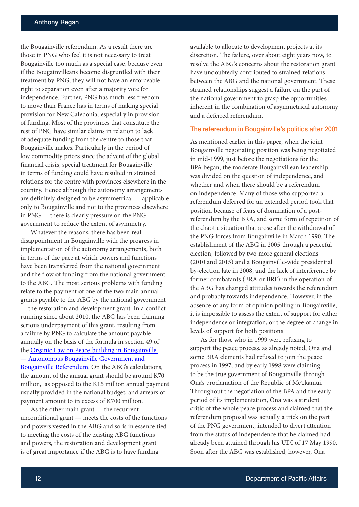the Bougainville referendum. As a result there are those in PNG who feel it is not necessary to treat Bougainville too much as a special case, because even if the Bougainvilleans become disgruntled with their treatment by PNG, they will not have an enforceable right to separation even after a majority vote for independence. Further, PNG has much less freedom to move than France has in terms of making special provision for New Caledonia, especially in provision of funding. Most of the provinces that constitute the rest of PNG have similar claims in relation to lack of adequate funding from the centre to those that Bougainville makes. Particularly in the period of low commodity prices since the advent of the global financial crisis, special treatment for Bougainville in terms of funding could have resulted in strained relations for the centre with provinces elsewhere in the country. Hence although the autonomy arrangements are definitely designed to be asymmetrical — applicable only to Bougainville and not to the provinces elsewhere in PNG — there is clearly pressure on the PNG government to reduce the extent of asymmetry.

Whatever the reasons, there has been real disappointment in Bougainville with the progress in implementation of the autonomy arrangements, both in terms of the pace at which powers and functions have been transferred from the national government and the flow of funding from the national government to the ABG. The most serious problems with funding relate to the payment of one of the two main annual grants payable to the ABG by the national government — the restoration and development grant. In a conflict running since about 2010, the ABG has been claiming serious underpayment of this grant, resulting from a failure by PNG to calculate the amount payable annually on the basis of the formula in section 49 of the [Organic Law on Peace-building in Bougainville](https://www.bing.com/search?q=Organic+Law+on+Peace-building+in+Bougainville+%E2%80%94+Autonomous+Bougainville+Government+and+Bougainville+Referendum+&qs=n&form=QBRE&sp=-1&pq=organic+law+on+peace-building+in+bougainville+%E2%80%94+autonomous+bougainville+government+and+bougainville+referendum+&sc=0-111&sk=&cvid=3966787D8F7145F1B96AA83925319086)  [— Autonomous Bougainville Government and](https://www.bing.com/search?q=Organic+Law+on+Peace-building+in+Bougainville+%E2%80%94+Autonomous+Bougainville+Government+and+Bougainville+Referendum+&qs=n&form=QBRE&sp=-1&pq=organic+law+on+peace-building+in+bougainville+%E2%80%94+autonomous+bougainville+government+and+bougainville+referendum+&sc=0-111&sk=&cvid=3966787D8F7145F1B96AA83925319086)  [Bougainville Referendum](https://www.bing.com/search?q=Organic+Law+on+Peace-building+in+Bougainville+%E2%80%94+Autonomous+Bougainville+Government+and+Bougainville+Referendum+&qs=n&form=QBRE&sp=-1&pq=organic+law+on+peace-building+in+bougainville+%E2%80%94+autonomous+bougainville+government+and+bougainville+referendum+&sc=0-111&sk=&cvid=3966787D8F7145F1B96AA83925319086). On the ABG's calculations, the amount of the annual grant should be around K70 million, as opposed to the K15 million annual payment usually provided in the national budget, and arrears of payment amount to in excess of K700 million.

As the other main grant — the recurrent unconditional grant — meets the costs of the functions and powers vested in the ABG and so is in essence tied to meeting the costs of the existing ABG functions and powers, the restoration and development grant is of great importance if the ABG is to have funding

available to allocate to development projects at its discretion. The failure, over about eight years now, to resolve the ABG's concerns about the restoration grant have undoubtedly contributed to strained relations between the ABG and the national government. These strained relationships suggest a failure on the part of the national government to grasp the opportunities inherent in the combination of asymmetrical autonomy and a deferred referendum.

#### The referendum in Bougainville's politics after 2001

As mentioned earlier in this paper, when the joint Bougainville negotiating position was being negotiated in mid-1999, just before the negotiations for the BPA began, the moderate Bougainvillean leadership was divided on the question of independence, and whether and when there should be a referendum on independence. Many of those who supported a referendum deferred for an extended period took that position because of fears of domination of a postreferendum by the BRA, and some form of repetition of the chaotic situation that arose after the withdrawal of the PNG forces from Bougainville in March 1990. The establishment of the ABG in 2005 through a peaceful election, followed by two more general elections (2010 and 2015) and a Bougainville-wide presidential by-election late in 2008, and the lack of interference by former combatants (BRA or BRF) in the operation of the ABG has changed attitudes towards the referendum and probably towards independence. However, in the absence of any form of opinion polling in Bougainville, it is impossible to assess the extent of support for either independence or integration, or the degree of change in levels of support for both positions.

As for those who in 1999 were refusing to support the peace process, as already noted, Ona and some BRA elements had refused to join the peace process in 1997, and by early 1998 were claiming to be the true government of Bougainville through Ona's proclamation of the Republic of Me'ekamui. Throughout the negotiation of the BPA and the early period of its implementation, Ona was a strident critic of the whole peace process and claimed that the referendum proposal was actually a trick on the part of the PNG government, intended to divert attention from the status of independence that he claimed had already been attained through his UDI of 17 May 1990. Soon after the ABG was established, however, Ona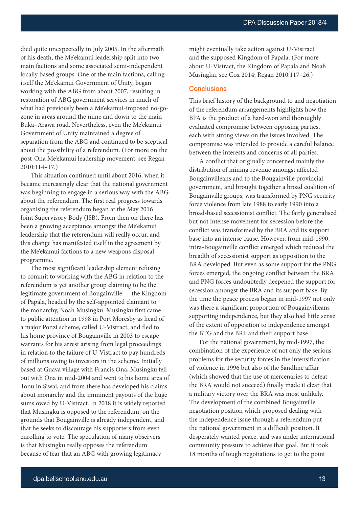died quite unexpectedly in July 2005. In the aftermath of his death, the Me'ekamui leadership split into two main factions and some associated semi-independent locally based groups. One of the main factions, calling itself the Me'ekamui Government of Unity, began working with the ABG from about 2007, resulting in restoration of ABG government services in much of what had previously been a Me'ekamui-imposed no-gozone in areas around the mine and down to the main Buka–Arawa road. Nevertheless, even the Me'ekamui Government of Unity maintained a degree of separation from the ABG and continued to be sceptical about the possibility of a referendum. (For more on the post-Ona Me'ekamui leadership movement, see Regan 2010:114–17.)

This situation continued until about 2016, when it became increasingly clear that the national government was beginning to engage in a serious way with the ABG about the referendum. The first real progress towards organising the referendum began at the May 2016 Joint Supervisory Body (JSB). From then on there has been a growing acceptance amongst the Me'ekamui leadership that the referendum will really occur, and this change has manifested itself in the agreement by the Me'ekamui factions to a new weapons disposal programme.

The most significant leadership element refusing to commit to working with the ABG in relation to the referendum is yet another group claiming to be the legitimate government of Bougainville — the Kingdom of Papala, headed by the self-appointed claimant to the monarchy, Noah Musingku. Musingku first came to public attention in 1998 in Port Moresby as head of a major Ponzi scheme, called U-Vistract, and fled to his home province of Bougainville in 2003 to escape warrants for his arrest arising from legal proceedings in relation to the failure of U-Vistract to pay hundreds of millions owing to investors in the scheme. Initially based at Guava village with Francis Ona, Musingku fell out with Ona in mid-2004 and went to his home area of Tonu in Siwai, and from there has developed his claims about monarchy and the imminent payouts of the huge sums owed by U-Vistract. In 2018 it is widely reported that Musingku is opposed to the referendum, on the grounds that Bougainville is already independent, and that he seeks to discourage his supporters from even enrolling to vote. The speculation of many observers is that Musingku really opposes the referendum because of fear that an ABG with growing legitimacy

might eventually take action against U-Vistract and the supposed Kingdom of Papala. (For more about U-Vistract, the Kingdom of Papala and Noah Musingku, see Cox 2014; Regan 2010:117–26.)

#### **Conclusions**

This brief history of the background to and negotiation of the referendum arrangements highlights how the BPA is the product of a hard-won and thoroughly evaluated compromise between opposing parties, each with strong views on the issues involved. The compromise was intended to provide a careful balance between the interests and concerns of all parties.

A conflict that originally concerned mainly the distribution of mining revenue amongst affected Bougainvilleans and to the Bougainville provincial government, and brought together a broad coalition of Bougainville groups, was transformed by PNG security force violence from late 1988 to early 1990 into a broad-based secessionist conflict. The fairly generalised but not intense movement for secession before the conflict was transformed by the BRA and its support base into an intense cause. However, from mid-1990, intra-Bougainville conflict emerged which reduced the breadth of secessionist support as opposition to the BRA developed. But even as some support for the PNG forces emerged, the ongoing conflict between the BRA and PNG forces undoubtedly deepened the support for secession amongst the BRA and its support base. By the time the peace process began in mid-1997 not only was there a significant proportion of Bougainvilleans supporting independence, but they also had little sense of the extent of opposition to independence amongst the BTG and the BRF and their support base.

For the national government, by mid-1997, the combination of the experience of not only the serious problems for the security forces in the intensification of violence in 1996 but also of the Sandline affair (which showed that the use of mercenaries to defeat the BRA would not succeed) finally made it clear that a military victory over the BRA was most unlikely. The development of the combined Bougainville negotiation position which proposed dealing with the independence issue through a referendum put the national government in a difficult position. It desperately wanted peace, and was under international community pressure to achieve that goal. But it took 18 months of tough negotiations to get to the point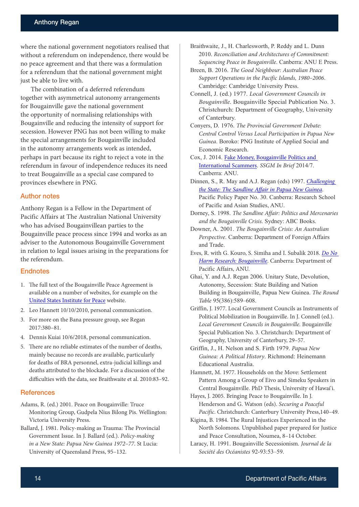where the national government negotiators realised that without a referendum on independence, there would be no peace agreement and that there was a formulation for a referendum that the national government might just be able to live with.

The combination of a deferred referendum together with asymmetrical autonomy arrangements for Bougainville gave the national government the opportunity of normalising relationships with Bougainville and reducing the intensity of support for secession. However PNG has not been willing to make the special arrangements for Bougainville included in the autonomy arrangements work as intended, perhaps in part because its right to reject a vote in the referendum in favour of independence reduces its need to treat Bougainville as a special case compared to provinces elsewhere in PNG.

#### Author notes

Anthony Regan is a Fellow in the Department of Pacific Affairs at The Australian National University who has advised Bougainvillean parties to the Bougainville peace process since 1994 and works as an adviser to the Autonomous Bougainville Government in relation to legal issues arising in the preparations for the referendum.

#### **Endnotes**

- 1. The full text of the Bougainville Peace Agreement is available on a number of websites, for example on the [United States Institute for Peace](http://www.usip.org/sites/default/files/file/resources/collections/peace_agreements/bougain_20010830.pdf) website.
- 2. Leo Hannett 10/10/2010, personal communication.
- 3. For more on the Bana pressure group, see Regan 2017:380–81.
- 4. Dennis Kuiai 10/6/2018, personal communication.
- 5. There are no reliable estimates of the number of deaths, mainly because no records are available, particularly for deaths of BRA personnel, extra-judicial killings and deaths attributed to the blockade. For a discussion of the difficulties with the data, see Braithwaite et al. 2010:83–92.

#### **References**

Adams, R. (ed.) 2001. Peace on Bougainville: Truce Monitoring Group, Gudpela Nius Bilong Pis. Wellington: Victoria University Press.

Ballard, J. 1981. Policy-making as Trauma: The Provincial Government Issue. In J. Ballard (ed.). *Policy-making in a New State: Papua New Guinea 1972–77*. St Lucia: University of Queensland Press, 95–132.

Braithwaite, J., H. Charlesworth, P. Reddy and L. Dunn 2010. *Reconciliation and Architectures of Commitment: Sequencing Peace in Bougainville*. Canberra: ANU E Press.

- Breen, B. 2016. *The Good Neighbour: Australian Peace Support Operations in the Pacific Islands, 1980–2006*. Cambridge: Cambridge University Press.
- Connell, J. (ed.) 1977. *Local Government Councils in Bougainville*. Bougainville Special Publication No. 3. Christchurch: Department of Geography, University of Canterbury.
- Conyers, D. 1976. *The Provincial Government Debate: Central Control Versus Local Participation in Papua New Guinea*. Boroko: PNG Institute of Applied Social and Economic Research.
- Cox, J. 2014. [Fake Money, Bougainville Politics and](http://bellschool.anu.edu.au/sites/default/files/publications/attachments/2015-12/IB-2014-7-Cox-ONLINE_0.pdf)  [International Scammers](http://bellschool.anu.edu.au/sites/default/files/publications/attachments/2015-12/IB-2014-7-Cox-ONLINE_0.pdf). *SSGM In Brief* 2014/7. Canberra: ANU.
- Dinnen, S., R. May and A.J. Regan (eds) 1997. *[Challenging](https://openresearch-repository.anu.edu.au/bitstream/1885/132682/1/PPP_30.pdf)  [the State: The Sandline Affair in Papua New Guinea](https://openresearch-repository.anu.edu.au/bitstream/1885/132682/1/PPP_30.pdf)*. Pacific Policy Paper No. 30. Canberra: Research School of Pacific and Asian Studies, ANU.
- Dorney, S. 1998. *The Sandline Affair: Politics and Mercenaries and the Bougainville Crisis*. Sydney: ABC Books.
- Downer, A. 2001. *The Bougainville Crisis: An Australian Perspective*. Canberra: Department of Foreign Affairs and Trade.
- Eves, R. with G. Kouro, S. Simiha and I. Subalik 2018. *[Do No](http://dpa.bellschool.anu.edu.au/experts-publications/publications/6000/do-no-harm-research-bougainville)  [Harm Research: Bougainville](http://dpa.bellschool.anu.edu.au/experts-publications/publications/6000/do-no-harm-research-bougainville)*. Canberra: Department of Pacific Affairs, ANU.
- Ghai, Y. and A.J. Regan 2006. Unitary State, Devolution, Autonomy, Secession: State Building and Nation Building in Bougainville, Papua New Guinea. *The Round Table* 95(386):589–608.
- Griffin, J. 1977. Local Government Councils as Instruments of Political Mobilization in Bougainville. In J. Connell (ed.). *Local Government Councils in Bougainville*. Bougainville Special Publication No. 3. Christchurch: Department of Geography, University of Canterbury, 29–57.
- Griffin, J., H. Nelson and S. Firth 1979. *Papua New Guinea: A Political History*. Richmond: Heinemann Educational Australia.

Hamnett, M. 1977. Households on the Move: Settlement Pattern Among a Group of Eivo and Simeku Speakers in Central Bougainville. PhD Thesis, University of Hawai'i.

Hayes, J. 2005. Bringing Peace to Bougainville. In J. Henderson and G. Watson (eds). *Securing a Peaceful Pacific*. Christchurch: Canterbury University Press,140–49.

- Kigina, B. 1984. The Rural Injustices Experienced in the North Solomons. Unpublished paper prepared for Justice and Peace Consultation, Noumea, 8–14 October.
- Laracy, H. 1991. Bougainville Secessionism. *Journal de la Société des Océanistes* 92-93:53–59.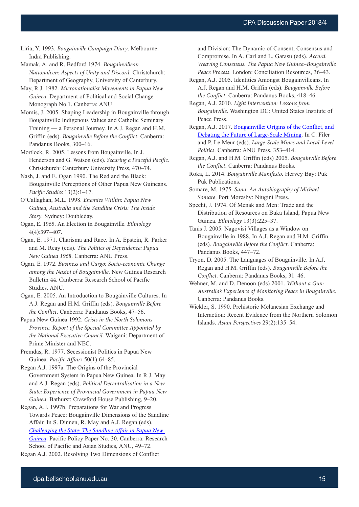Liria, Y. 1993. *Bougainville Campaign Diary*. Melbourne: Indra Publishing.

Mamak, A. and R. Bedford 1974. *Bougainvillean Nationalism: Aspects of Unity and Discord*. Christchurch: Department of Geography, University of Canterbury.

May, R.J. 1982. *Micronationalist Movements in Papua New Guinea*. Department of Political and Social Change Monograph No.1. Canberra: ANU

Momis, J. 2005. Shaping Leadership in Bougainville through Bougainville Indigenous Values and Catholic Seminary Training — a Personal Journey. In A.J. Regan and H.M. Griffin (eds). *Bougainville Before the Conflict*. Canberra: Pandanus Books, 300–16.

Mortlock, R. 2005. Lessons from Bougainville. In J. Henderson and G. Watson (eds). *Securing a Peaceful Pacific*. Christchurch: Canterbury University Press, 470–74.

Nash, J. and E. Ogan 1990. The Red and the Black: Bougainville Perceptions of Other Papua New Guineans. *Pacific Studies* 13(2):1–17.

O'Callaghan, M.L. 1998. *Enemies Within: Papua New Guinea, Australia and the Sandline Crisis: The Inside Story*. Sydney: Doubleday.

Ogan, E. 1965. An Election in Bougainville. *Ethnology* 4(4):397–407.

Ogan, E. 1971. Charisma and Race. In A. Epstein, R. Parker and M. Reay (eds). *The Politics of Dependence: Papua New Guinea 1968*. Canberra: ANU Press.

Ogan, E. 1972. *Business and Cargo: Socio-economic Change among the Nasioi of Bougainville*. New Guinea Research Bulletin 44. Canberra: Research School of Pacific Studies, ANU.

Ogan, E. 2005. An Introduction to Bougainville Cultures. In A.J. Regan and H.M. Griffin (eds). *Bougainville Before the Conflict*. Canberra: Pandanus Books, 47–56.

Papua New Guinea 1992. *Crisis in the North Solomons Province. Report of the Special Committee Appointed by the National Executive Council*. Waigani: Department of Prime Minister and NEC.

Premdas, R. 1977. Secessionist Politics in Papua New Guinea. *Pacific Affairs* 50(1):64–85.

Regan A.J. 1997a. The Origins of the Provincial Government System in Papua New Guinea. In R.J. May and A.J. Regan (eds). *Political Decentralisation in a New State: Experience of Provincial Government in Papua New Guinea*. Bathurst: Crawford House Publishing, 9–20.

Regan, A.J. 1997b. Preparations for War and Progress Towards Peace: Bougainville Dimensions of the Sandline Affair. In S. Dinnen, R. May and A.J. Regan (eds). *[Challenging the State: The Sandline Affair in Papua New](https://openresearch-repository.anu.edu.au/bitstream/1885/132682/1/PPP_30.pdf)  [Guinea](https://openresearch-repository.anu.edu.au/bitstream/1885/132682/1/PPP_30.pdf)*. Pacific Policy Paper No. 30. Canberra: Research School of Pacific and Asian Studies, ANU, 49–72. Regan A.J. 2002. Resolving Two Dimensions of Conflict

and Division: The Dynamic of Consent, Consensus and Compromise. In A. Carl and L. Garasu (eds). *Accord: Weaving Consensus. The Papua New Guinea–Bougainville Peace Process*. London: Conciliation Resources, 36–43.

Regan, A.J. 2005. Identities Amongst Bougainvilleans. In A.J. Regan and H.M. Griffin (eds). *Bougainville Before the Conflict*. Canberra: Pandanus Books, 418–46.

Regan, A.J. 2010. *Light Intervention: Lessons from Bougainville*. Washington DC: United States Institute of Peace Press.

Regan, A.J. 2017. [Bougainville: Origins of the Conflict, and](http://press-files.anu.edu.au/downloads/press/n3901/pdf/ch12.pdf)  [Debating the Future of Large-Scale Mining](http://press-files.anu.edu.au/downloads/press/n3901/pdf/ch12.pdf). In C. Filer and P. Le Meur (eds). *Large-Scale Mines and Local-Level Politics*. Canberra: ANU Press, 353–414.

Regan, A.J. and H.M. Griffin (eds) 2005. *Bougainville Before the Conflict*. Canberra: Pandanus Books.

Roka, L. 2014. *Bougainville Manifesto*. Hervey Bay: Puk Puk Publications.

Somare, M. 1975. *Sana: An Autobiography of Michael Somare*. Port Moresby: Niugini Press.

Specht, J. 1974. Of Menak and Men: Trade and the Distribution of Resources on Buka Island, Papua New Guinea. *Ethnology* 13(3):225–37.

Tanis J. 2005. Nagovisi Villages as a Window on Bougainville in 1988. In A.J. Regan and H.M. Griffin (eds). *Bougainville Before the Conflict*. Canberra: Pandanus Books, 447–72.

Tryon, D. 2005. The Languages of Bougainville. In A.J. Regan and H.M. Griffin (eds). *Bougainville Before the Conflict*. Canberra: Pandanus Books, 31–46.

Wehner, M. and D. Denoon (eds) 2001. *Without a Gun: Australia's Experience of Monitoring Peace in Bougainville*. Canberra: Pandanus Books.

Wickler, S. 1990. Prehistoric Melanesian Exchange and Interaction: Recent Evidence from the Northern Solomon Islands. *Asian Perspectives* 29(2):135–54.